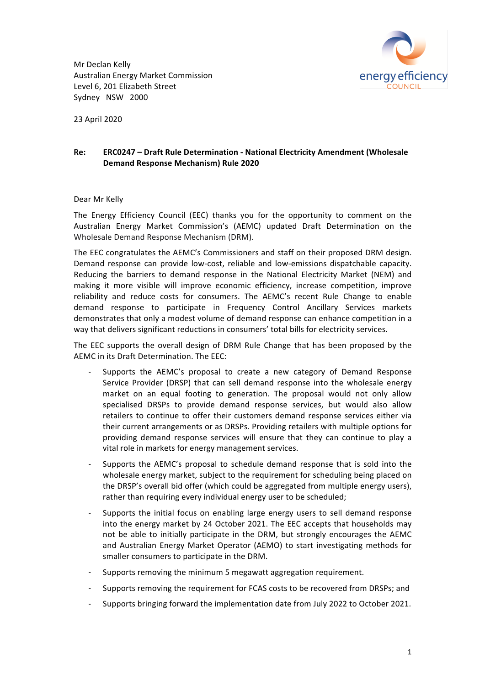Mr Declan Kelly Australian Energy Market Commission Level 6, 201 Elizabeth Street Sydney NSW 2000



23 April 2020

# **Re: ERC0247 - Draft Rule Determination - National Electricity Amendment (Wholesale Demand Response Mechanism) Rule 2020**

## Dear Mr Kelly

The Energy Efficiency Council (EEC) thanks you for the opportunity to comment on the Australian Energy Market Commission's (AEMC) updated Draft Determination on the Wholesale Demand Response Mechanism (DRM).

The EEC congratulates the AEMC's Commissioners and staff on their proposed DRM design. Demand response can provide low-cost, reliable and low-emissions dispatchable capacity. Reducing the barriers to demand response in the National Electricity Market (NEM) and making it more visible will improve economic efficiency, increase competition, improve reliability and reduce costs for consumers. The AEMC's recent Rule Change to enable demand response to participate in Frequency Control Ancillary Services markets demonstrates that only a modest volume of demand response can enhance competition in a way that delivers significant reductions in consumers' total bills for electricity services.

The EEC supports the overall design of DRM Rule Change that has been proposed by the AEMC in its Draft Determination. The EEC:

- Supports the AEMC's proposal to create a new category of Demand Response Service Provider (DRSP) that can sell demand response into the wholesale energy market on an equal footing to generation. The proposal would not only allow specialised DRSPs to provide demand response services, but would also allow retailers to continue to offer their customers demand response services either via their current arrangements or as DRSPs. Providing retailers with multiple options for providing demand response services will ensure that they can continue to play a vital role in markets for energy management services.
- Supports the AEMC's proposal to schedule demand response that is sold into the wholesale energy market, subject to the requirement for scheduling being placed on the DRSP's overall bid offer (which could be aggregated from multiple energy users), rather than requiring every individual energy user to be scheduled;
- Supports the initial focus on enabling large energy users to sell demand response into the energy market by 24 October 2021. The EEC accepts that households may not be able to initially participate in the DRM, but strongly encourages the AEMC and Australian Energy Market Operator (AEMO) to start investigating methods for smaller consumers to participate in the DRM.
- Supports removing the minimum 5 megawatt aggregation requirement.
- Supports removing the requirement for FCAS costs to be recovered from DRSPs; and
- Supports bringing forward the implementation date from July 2022 to October 2021.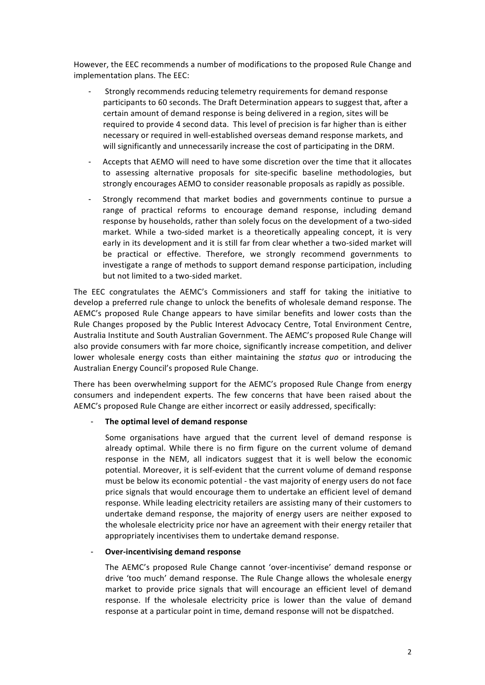However, the EEC recommends a number of modifications to the proposed Rule Change and implementation plans. The EEC:

- Strongly recommends reducing telemetry requirements for demand response participants to 60 seconds. The Draft Determination appears to suggest that, after a certain amount of demand response is being delivered in a region, sites will be required to provide 4 second data. This level of precision is far higher than is either necessary or required in well-established overseas demand response markets, and will significantly and unnecessarily increase the cost of participating in the DRM.
- Accepts that AEMO will need to have some discretion over the time that it allocates to assessing alternative proposals for site-specific baseline methodologies, but strongly encourages AEMO to consider reasonable proposals as rapidly as possible.
- Strongly recommend that market bodies and governments continue to pursue a range of practical reforms to encourage demand response, including demand response by households, rather than solely focus on the development of a two-sided market. While a two-sided market is a theoretically appealing concept, it is very early in its development and it is still far from clear whether a two-sided market will be practical or effective. Therefore, we strongly recommend governments to investigate a range of methods to support demand response participation, including but not limited to a two-sided market.

The EEC congratulates the AEMC's Commissioners and staff for taking the initiative to develop a preferred rule change to unlock the benefits of wholesale demand response. The AEMC's proposed Rule Change appears to have similar benefits and lower costs than the Rule Changes proposed by the Public Interest Advocacy Centre, Total Environment Centre, Australia Institute and South Australian Government. The AEMC's proposed Rule Change will also provide consumers with far more choice, significantly increase competition, and deliver lower wholesale energy costs than either maintaining the *status quo* or introducing the Australian Energy Council's proposed Rule Change.

There has been overwhelming support for the AEMC's proposed Rule Change from energy consumers and independent experts. The few concerns that have been raised about the AEMC's proposed Rule Change are either incorrect or easily addressed, specifically:

## The optimal level of demand response

Some organisations have argued that the current level of demand response is already optimal. While there is no firm figure on the current volume of demand response in the NEM, all indicators suggest that it is well below the economic potential. Moreover, it is self-evident that the current volume of demand response must be below its economic potential - the vast majority of energy users do not face price signals that would encourage them to undertake an efficient level of demand response. While leading electricity retailers are assisting many of their customers to undertake demand response, the majority of energy users are neither exposed to the wholesale electricity price nor have an agreement with their energy retailer that appropriately incentivises them to undertake demand response.

## **Over-incentivising demand response**

The AEMC's proposed Rule Change cannot 'over-incentivise' demand response or drive 'too much' demand response. The Rule Change allows the wholesale energy market to provide price signals that will encourage an efficient level of demand response. If the wholesale electricity price is lower than the value of demand response at a particular point in time, demand response will not be dispatched.